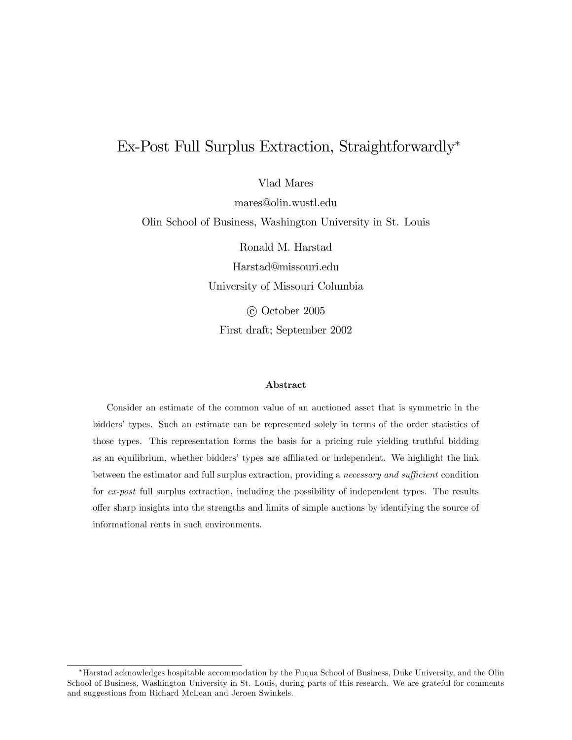# Ex-Post Full Surplus Extraction, Straightforwardly

Vlad Mares

mares@olin.wustl.edu Olin School of Business, Washington University in St. Louis

> Ronald M. Harstad Harstad@missouri.edu University of Missouri Columbia c October 2005

First draft; September 2002

#### Abstract

Consider an estimate of the common value of an auctioned asset that is symmetric in the biddersí types. Such an estimate can be represented solely in terms of the order statistics of those types. This representation forms the basis for a pricing rule yielding truthful bidding as an equilibrium, whether bidders' types are affiliated or independent. We highlight the link between the estimator and full surplus extraction, providing a *necessary and sufficient* condition for ex-post full surplus extraction, including the possibility of independent types. The results offer sharp insights into the strengths and limits of simple auctions by identifying the source of informational rents in such environments.

Harstad acknowledges hospitable accommodation by the Fuqua School of Business, Duke University, and the Olin School of Business, Washington University in St. Louis, during parts of this research. We are grateful for comments and suggestions from Richard McLean and Jeroen Swinkels.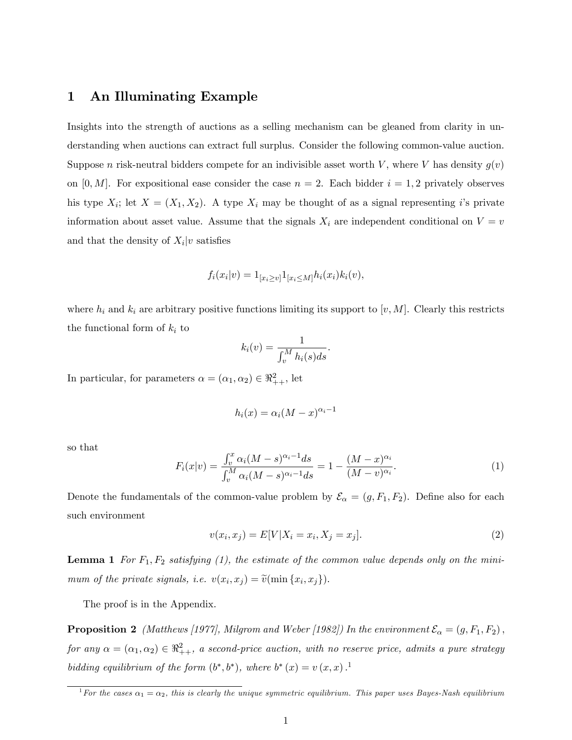## 1 An Illuminating Example

Insights into the strength of auctions as a selling mechanism can be gleaned from clarity in understanding when auctions can extract full surplus. Consider the following common-value auction. Suppose n risk-neutral bidders compete for an indivisible asset worth V, where V has density  $g(v)$ on  $[0, M]$ . For expositional ease consider the case  $n = 2$ . Each bidder  $i = 1, 2$  privately observes his type  $X_i$ ; let  $X = (X_1, X_2)$ . A type  $X_i$  may be thought of as a signal representing i's private information about asset value. Assume that the signals  $X_i$  are independent conditional on  $V = v$ and that the density of  $X_i|v$  satisfies

$$
f_i(x_i|v) = 1_{[x_i \ge v]} 1_{[x_i \le M]} h_i(x_i) k_i(v),
$$

where  $h_i$  and  $k_i$  are arbitrary positive functions limiting its support to  $[v, M]$ . Clearly this restricts the functional form of  $k_i$  to

$$
k_i(v) = \frac{1}{\int_v^M h_i(s)ds}
$$

In particular, for parameters  $\alpha = (\alpha_1, \alpha_2) \in \mathbb{R}^2_{++}$ , let

$$
h_i(x) = \alpha_i (M - x)^{\alpha_i - 1}
$$

so that

$$
F_i(x|v) = \frac{\int_v^x \alpha_i (M-s)^{\alpha_i - 1} ds}{\int_v^M \alpha_i (M-s)^{\alpha_i - 1} ds} = 1 - \frac{(M-x)^{\alpha_i}}{(M-v)^{\alpha_i}}.
$$
 (1)

:

Denote the fundamentals of the common-value problem by  $\mathcal{E}_{\alpha} = (g, F_1, F_2)$ . Define also for each such environment

$$
v(x_i, x_j) = E[V|X_i = x_i, X_j = x_j].
$$
\n(2)

**Lemma 1** For  $F_1, F_2$  satisfying (1), the estimate of the common value depends only on the minimum of the private signals, i.e.  $v(x_i, x_j) = \tilde{v}(\min\{x_i, x_j\}).$ 

The proof is in the Appendix.

**Proposition 2** (Matthews [1977], Milgrom and Weber [1982]) In the environment  $\mathcal{E}_{\alpha} = (g, F_1, F_2)$ , for any  $\alpha = (\alpha_1, \alpha_2) \in \Re_{++}^2$ , a second-price auction, with no reserve price, admits a pure strategy bidding equilibrium of the form  $(b^*, b^*)$ , where  $b^*(x) = v(x, x)$ .

<sup>&</sup>lt;sup>1</sup> For the cases  $\alpha_1 = \alpha_2$ , this is clearly the unique symmetric equilibrium. This paper uses Bayes-Nash equilibrium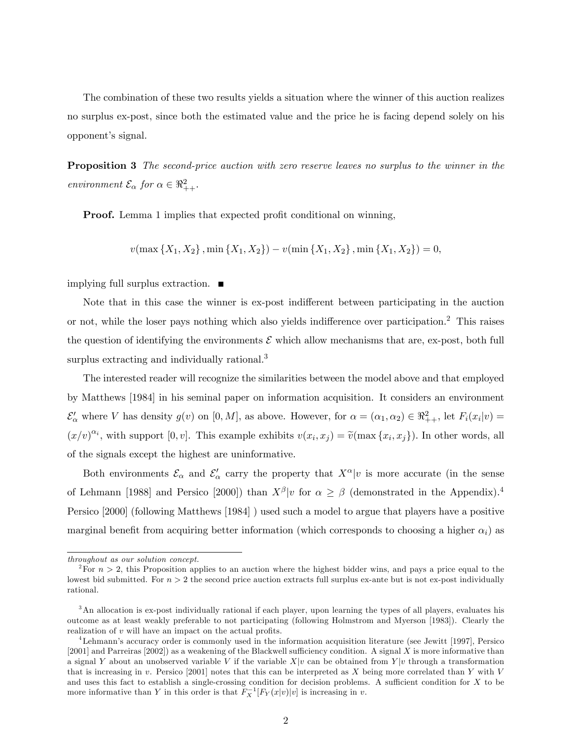The combination of these two results yields a situation where the winner of this auction realizes no surplus ex-post, since both the estimated value and the price he is facing depend solely on his opponent's signal.

**Proposition 3** The second-price auction with zero reserve leaves no surplus to the winner in the environment  $\mathcal{E}_{\alpha}$  for  $\alpha \in \mathbb{R}^2_{++}$ .

**Proof.** Lemma 1 implies that expected profit conditional on winning,

$$
v(\max\{X_1, X_2\}, \min\{X_1, X_2\}) - v(\min\{X_1, X_2\}, \min\{X_1, X_2\}) = 0,
$$

implying full surplus extraction.

Note that in this case the winner is ex-post indifferent between participating in the auction or not, while the loser pays nothing which also yields indifference over participation.<sup>2</sup> This raises the question of identifying the environments  $\mathcal E$  which allow mechanisms that are, ex-post, both full surplus extracting and individually rational.<sup>3</sup>

The interested reader will recognize the similarities between the model above and that employed by Matthews [1984] in his seminal paper on information acquisition. It considers an environment  $\mathcal{E}'_{\alpha}$  where V has density  $g(v)$  on  $[0, M]$ , as above. However, for  $\alpha = (\alpha_1, \alpha_2) \in \Re^2_{++}$ , let  $F_i(x_i|v) =$  $(x/v)^{\alpha_i}$ , with support [0, v]. This example exhibits  $v(x_i, x_j) = \tilde{v}(\max\{x_i, x_j\})$ . In other words, all of the signals except the highest are uninformative.

Both environments  $\mathcal{E}_{\alpha}$  and  $\mathcal{E}'_{\alpha}$  carry the property that  $X^{\alpha}|v$  is more accurate (in the sense of Lehmann [1988] and Persico [2000]) than  $X^{\beta}|v\rangle$  for  $\alpha \geq \beta$  (demonstrated in the Appendix).<sup>4</sup> Persico [2000] (following Matthews [1984] ) used such a model to argue that players have a positive marginal benefit from acquiring better information (which corresponds to choosing a higher  $\alpha_i$ ) as

throughout as our solution concept.

<sup>&</sup>lt;sup>2</sup>For  $n > 2$ , this Proposition applies to an auction where the highest bidder wins, and pays a price equal to the lowest bid submitted. For  $n > 2$  the second price auction extracts full surplus ex-ante but is not ex-post individually rational.

<sup>3</sup>An allocation is ex-post individually rational if each player, upon learning the types of all players, evaluates his outcome as at least weakly preferable to not participating (following Holmstrom and Myerson [1983]). Clearly the realization of  $v$  will have an impact on the actual profits.

<sup>4</sup>Lehmannís accuracy order is commonly used in the information acquisition literature (see Jewitt [1997], Persico [2001] and Parreiras [2002]) as a weakening of the Blackwell sufficiency condition. A signal X is more informative than a signal Y about an unobserved variable V if the variable  $X|v$  can be obtained from Y|v through a transformation that is increasing in v. Persico [2001] notes that this can be interpreted as  $X$  being more correlated than  $Y$  with  $V$ and uses this fact to establish a single-crossing condition for decision problems. A sufficient condition for  $X$  to be more informative than Y in this order is that  $F_X^{-1}[F_Y(x|v)|v]$  is increasing in v.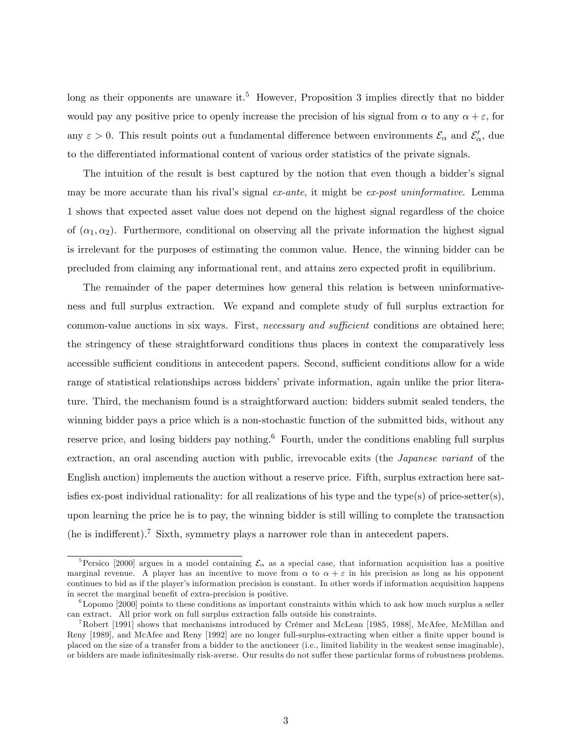long as their opponents are unaware it.<sup>5</sup> However, Proposition 3 implies directly that no bidder would pay any positive price to openly increase the precision of his signal from  $\alpha$  to any  $\alpha + \varepsilon$ , for any  $\varepsilon > 0$ . This result points out a fundamental difference between environments  $\mathcal{E}_{\alpha}$  and  $\mathcal{E}'_{\alpha}$ , due to the differentiated informational content of various order statistics of the private signals.

The intuition of the result is best captured by the notion that even though a bidder's signal may be more accurate than his rival's signal  $ex$ -ante, it might be  $ex$ -post uninformative. Lemma 1 shows that expected asset value does not depend on the highest signal regardless of the choice of  $(\alpha_1, \alpha_2)$ . Furthermore, conditional on observing all the private information the highest signal is irrelevant for the purposes of estimating the common value. Hence, the winning bidder can be precluded from claiming any informational rent, and attains zero expected profit in equilibrium.

The remainder of the paper determines how general this relation is between uninformativeness and full surplus extraction. We expand and complete study of full surplus extraction for common-value auctions in six ways. First, necessary and sufficient conditions are obtained here; the stringency of these straightforward conditions thus places in context the comparatively less accessible sufficient conditions in antecedent papers. Second, sufficient conditions allow for a wide range of statistical relationships across bidders' private information, again unlike the prior literature. Third, the mechanism found is a straightforward auction: bidders submit sealed tenders, the winning bidder pays a price which is a non-stochastic function of the submitted bids, without any reserve price, and losing bidders pay nothing.<sup>6</sup> Fourth, under the conditions enabling full surplus extraction, an oral ascending auction with public, irrevocable exits (the Japanese variant of the English auction) implements the auction without a reserve price. Fifth, surplus extraction here satis fies ex-post individual rationality: for all realizations of his type and the type(s) of price-setter(s), upon learning the price he is to pay, the winning bidder is still willing to complete the transaction (he is indifferent).<sup>7</sup> Sixth, symmetry plays a narrower role than in antecedent papers.

<sup>&</sup>lt;sup>5</sup>Persico [2000] argues in a model containing  $\mathcal{E}_{\alpha}$  as a special case, that information acquisition has a positive marginal revenue. A player has an incentive to move from  $\alpha$  to  $\alpha + \varepsilon$  in his precision as long as his opponent continues to bid as if the player's information precision is constant. In other words if information acquisition happens in secret the marginal benefit of extra-precision is positive.

 $6$ Lopomo [2000] points to these conditions as important constraints within which to ask how much surplus a seller can extract. All prior work on full surplus extraction falls outside his constraints.

<sup>&</sup>lt;sup>7</sup>Robert [1991] shows that mechanisms introduced by Crémer and McLean [1985, 1988], McAfee, McMillan and Reny [1989], and McAfee and Reny [1992] are no longer full-surplus-extracting when either a finite upper bound is placed on the size of a transfer from a bidder to the auctioneer (i.e., limited liability in the weakest sense imaginable), or bidders are made infinitesimally risk-averse. Our results do not suffer these particular forms of robustness problems.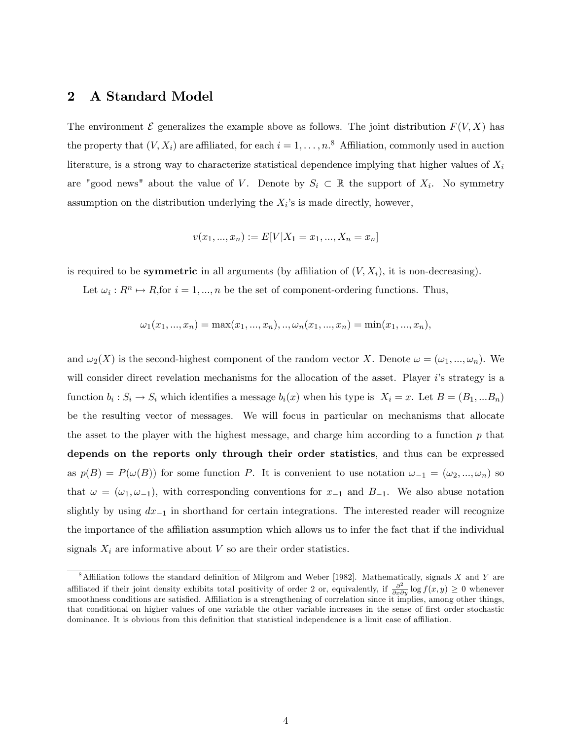### 2 A Standard Model

The environment  $\mathcal E$  generalizes the example above as follows. The joint distribution  $F(V, X)$  has the property that  $(V, X_i)$  are affiliated, for each  $i = 1, \ldots, n$ .<sup>8</sup> Affiliation, commonly used in auction literature, is a strong way to characterize statistical dependence implying that higher values of  $X_i$ are "good news" about the value of V. Denote by  $S_i \subset \mathbb{R}$  the support of  $X_i$ . No symmetry assumption on the distribution underlying the  $X_i$ 's is made directly, however,

$$
v(x_1, ..., x_n) := E[V|X_1 = x_1, ..., X_n = x_n]
$$

is required to be **symmetric** in all arguments (by affiliation of  $(V, X_i)$ , it is non-decreasing).

Let  $\omega_i : R^n \mapsto R$ , for  $i = 1, ..., n$  be the set of component-ordering functions. Thus,

$$
\omega_1(x_1,...,x_n) = \max(x_1,...,x_n),..,\omega_n(x_1,...,x_n) = \min(x_1,...,x_n),
$$

and  $\omega_2(X)$  is the second-highest component of the random vector X. Denote  $\omega = (\omega_1, ..., \omega_n)$ . We will consider direct revelation mechanisms for the allocation of the asset. Player is strategy is a function  $b_i: S_i \to S_i$  which identifies a message  $b_i(x)$  when his type is  $X_i = x$ . Let  $B = (B_1, ... B_n)$ be the resulting vector of messages. We will focus in particular on mechanisms that allocate the asset to the player with the highest message, and charge him according to a function  $p$  that depends on the reports only through their order statistics, and thus can be expressed as  $p(B) = P(\omega(B))$  for some function P. It is convenient to use notation  $\omega_{-1} = (\omega_2, ..., \omega_n)$  so that  $\omega = (\omega_1, \omega_{-1})$ , with corresponding conventions for  $x_{-1}$  and  $B_{-1}$ . We also abuse notation slightly by using  $dx_{-1}$  in shorthand for certain integrations. The interested reader will recognize the importance of the affiliation assumption which allows us to infer the fact that if the individual signals  $X_i$  are informative about V so are their order statistics.

 $8$ Affiliation follows the standard definition of Milgrom and Weber [1982]. Mathematically, signals X and Y are affiliated if their joint density exhibits total positivity of order 2 or, equivalently, if  $\frac{\partial^2}{\partial x \partial y} \log f(x, y) \ge 0$  whenever<br>smoothness conditions are satisfied. Affiliation is a strengthening of correlation since it that conditional on higher values of one variable the other variable increases in the sense of first order stochastic dominance. It is obvious from this definition that statistical independence is a limit case of affiliation.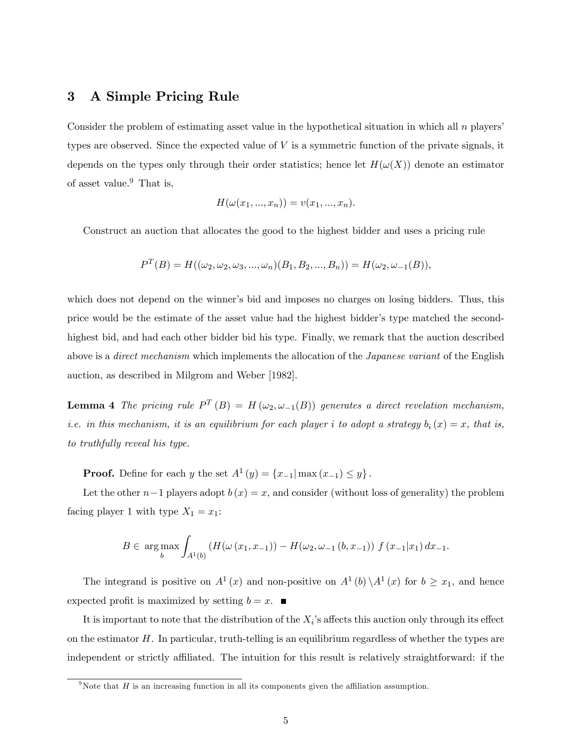## 3 A Simple Pricing Rule

Consider the problem of estimating asset value in the hypothetical situation in which all  $n$  players' types are observed. Since the expected value of  $V$  is a symmetric function of the private signals, it depends on the types only through their order statistics; hence let  $H(\omega(X))$  denote an estimator of asset value. $9$  That is,

$$
H(\omega(x_1, ..., x_n)) = v(x_1, ..., x_n).
$$

Construct an auction that allocates the good to the highest bidder and uses a pricing rule

$$
P^{T}(B) = H((\omega_2, \omega_2, \omega_3, ..., \omega_n)(B_1, B_2, ..., B_n)) = H(\omega_2, \omega_{-1}(B)),
$$

which does not depend on the winner's bid and imposes no charges on losing bidders. Thus, this price would be the estimate of the asset value had the highest bidderís type matched the secondhighest bid, and had each other bidder bid his type. Finally, we remark that the auction described above is a *direct mechanism* which implements the allocation of the *Japanese variant* of the English auction, as described in Milgrom and Weber [1982].

**Lemma 4** The pricing rule  $P^T(B) = H(\omega_2, \omega_{-1}(B))$  generates a direct revelation mechanism, *i.e.* in this mechanism, it is an equilibrium for each player i to adopt a strategy  $b_i(x) = x$ , that is, to truthfully reveal his type.

**Proof.** Define for each y the set  $A^{1}(y) = \{x_{-1} | \max(x_{-1}) \leq y\}$ .

Let the other  $n-1$  players adopt  $b(x) = x$ , and consider (without loss of generality) the problem facing player 1 with type  $X_1 = x_1$ :

$$
B \in \underset{b}{\arg\max} \int_{A^1(b)} \left( H(\omega(x_1, x_{-1})) - H(\omega_2, \omega_{-1}(b, x_{-1})) f(x_{-1} | x_1) dx_{-1} \right).
$$

The integrand is positive on  $A^1(x)$  and non-positive on  $A^1(b)\setminus A^1(x)$  for  $b\geq x_1$ , and hence expected profit is maximized by setting  $b = x$ .

It is important to note that the distribution of the  $X_i$ 's affects this auction only through its effect on the estimator  $H$ . In particular, truth-telling is an equilibrium regardless of whether the types are independent or strictly affiliated. The intuition for this result is relatively straightforward: if the

 $9N$ ote that H is an increasing function in all its components given the affiliation assumption.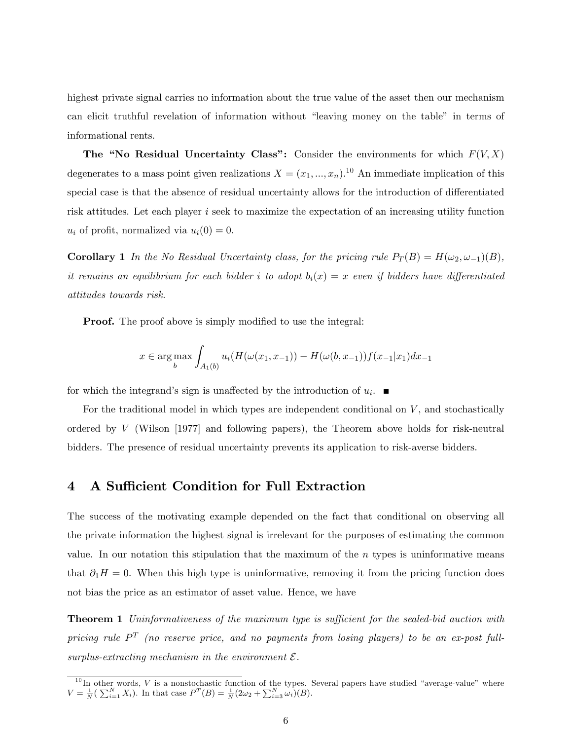highest private signal carries no information about the true value of the asset then our mechanism can elicit truthful revelation of information without "leaving money on the table" in terms of informational rents.

The "No Residual Uncertainty Class": Consider the environments for which  $F(V, X)$ degenerates to a mass point given realizations  $X = (x_1, ..., x_n)$ .<sup>10</sup> An immediate implication of this special case is that the absence of residual uncertainty allows for the introduction of differentiated risk attitudes. Let each player i seek to maximize the expectation of an increasing utility function  $u_i$  of profit, normalized via  $u_i(0) = 0$ .

**Corollary 1** In the No Residual Uncertainty class, for the pricing rule  $P_T(B) = H(\omega_2, \omega_{-1})(B)$ , it remains an equilibrium for each bidder i to adopt  $b_i(x) = x$  even if bidders have differentiated attitudes towards risk.

**Proof.** The proof above is simply modified to use the integral:

$$
x \in \underset{b}{\arg \max} \int_{A_1(b)} u_i(H(\omega(x_1, x_{-1})) - H(\omega(b, x_{-1}))f(x_{-1}|x_1)dx_{-1}
$$

for which the integrand's sign is unaffected by the introduction of  $u_i$ .

For the traditional model in which types are independent conditional on  $V$ , and stochastically ordered by  $V$  (Wilson [1977] and following papers), the Theorem above holds for risk-neutral bidders. The presence of residual uncertainty prevents its application to risk-averse bidders.

#### 4 A Sufficient Condition for Full Extraction

The success of the motivating example depended on the fact that conditional on observing all the private information the highest signal is irrelevant for the purposes of estimating the common value. In our notation this stipulation that the maximum of the  $n$  types is uninformative means that  $\partial_1 H = 0$ . When this high type is uninformative, removing it from the pricing function does not bias the price as an estimator of asset value. Hence, we have

**Theorem 1** Uninformativeness of the maximum type is sufficient for the sealed-bid auction with pricing rule  $P^T$  (no reserve price, and no payments from losing players) to be an ex-post fullsurplus-extracting mechanism in the environment  $\mathcal{E}$ .

 $10$  In other words, V is a nonstochastic function of the types. Several papers have studied "average-value" where  $V = \frac{1}{N} (\sum_{i=1}^{N} X_i)$ . In that case  $P^{T}(B) = \frac{1}{N} (2\omega_2 + \sum_{i=3}^{N} \omega_i) (B)$ .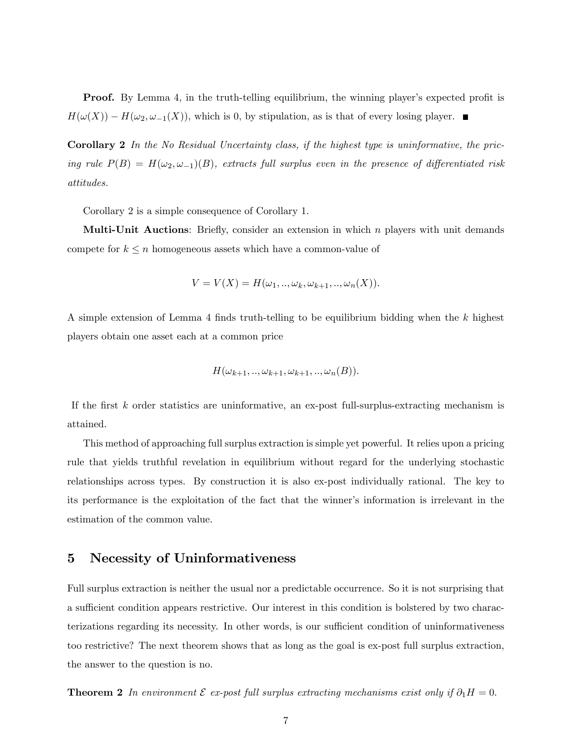**Proof.** By Lemma 4, in the truth-telling equilibrium, the winning player's expected profit is  $H(\omega(X)) - H(\omega_2, \omega_{-1}(X))$ , which is 0, by stipulation, as is that of every losing player.

Corollary 2 In the No Residual Uncertainty class, if the highest type is uninformative, the pricing rule  $P(B) = H(\omega_2, \omega_{-1})(B)$ , extracts full surplus even in the presence of differentiated risk attitudes.

Corollary 2 is a simple consequence of Corollary 1.

**Multi-Unit Auctions:** Briefly, consider an extension in which  $n$  players with unit demands compete for  $k \leq n$  homogeneous assets which have a common-value of

$$
V = V(X) = H(\omega_1, \ldots, \omega_k, \omega_{k+1}, \ldots, \omega_n(X)).
$$

A simple extension of Lemma 4 finds truth-telling to be equilibrium bidding when the  $k$  highest players obtain one asset each at a common price

$$
H(\omega_{k+1},\ldots,\omega_{k+1},\omega_{k+1},\ldots,\omega_n(B)).
$$

If the first  $k$  order statistics are uninformative, an ex-post full-surplus-extracting mechanism is attained.

This method of approaching full surplus extraction is simple yet powerful. It relies upon a pricing rule that yields truthful revelation in equilibrium without regard for the underlying stochastic relationships across types. By construction it is also ex-post individually rational. The key to its performance is the exploitation of the fact that the winner's information is irrelevant in the estimation of the common value.

#### 5 Necessity of Uninformativeness

Full surplus extraction is neither the usual nor a predictable occurrence. So it is not surprising that a sufficient condition appears restrictive. Our interest in this condition is bolstered by two characterizations regarding its necessity. In other words, is our sufficient condition of uninformativeness too restrictive? The next theorem shows that as long as the goal is ex-post full surplus extraction, the answer to the question is no.

**Theorem 2** In environment  $\mathcal E$  ex-post full surplus extracting mechanisms exist only if  $\partial_1 H = 0$ .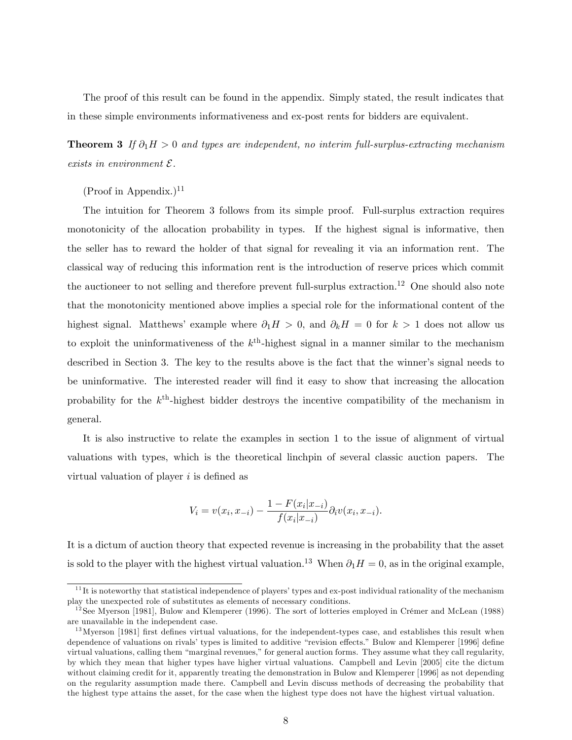The proof of this result can be found in the appendix. Simply stated, the result indicates that in these simple environments informativeness and ex-post rents for bidders are equivalent.

**Theorem 3** If  $\partial_1 H > 0$  and types are independent, no interim full-surplus-extracting mechanism exists in environment  $\mathcal{E}.$ 

 $(Proof in Appendix.)<sup>11</sup>$ 

The intuition for Theorem 3 follows from its simple proof. Full-surplus extraction requires monotonicity of the allocation probability in types. If the highest signal is informative, then the seller has to reward the holder of that signal for revealing it via an information rent. The classical way of reducing this information rent is the introduction of reserve prices which commit the auctioneer to not selling and therefore prevent full-surplus extraction.<sup>12</sup> One should also note that the monotonicity mentioned above implies a special role for the informational content of the highest signal. Matthews' example where  $\partial_1 H > 0$ , and  $\partial_k H = 0$  for  $k > 1$  does not allow us to exploit the uninformativeness of the  $k^{\text{th}}$ -highest signal in a manner similar to the mechanism described in Section 3. The key to the results above is the fact that the winner's signal needs to be uninformative. The interested reader will find it easy to show that increasing the allocation probability for the  $k^{\text{th}}$ -highest bidder destroys the incentive compatibility of the mechanism in general.

It is also instructive to relate the examples in section 1 to the issue of alignment of virtual valuations with types, which is the theoretical linchpin of several classic auction papers. The virtual valuation of player  $i$  is defined as

$$
V_i = v(x_i, x_{-i}) - \frac{1 - F(x_i|x_{-i})}{f(x_i|x_{-i})} \partial_i v(x_i, x_{-i}).
$$

It is a dictum of auction theory that expected revenue is increasing in the probability that the asset is sold to the player with the highest virtual valuation.<sup>13</sup> When  $\partial_1 H = 0$ , as in the original example,

 $11$ It is noteworthy that statistical independence of players' types and ex-post individual rationality of the mechanism play the unexpected role of substitutes as elements of necessary conditions.

 $12$ See Myerson [1981], Bulow and Klemperer (1996). The sort of lotteries employed in Crémer and McLean (1988) are unavailable in the independent case.

 $13$ Myerson [1981] first defines virtual valuations, for the independent-types case, and establishes this result when dependence of valuations on rivals' types is limited to additive "revision effects." Bulow and Klemperer [1996] define virtual valuations, calling them "marginal revenues," for general auction forms. They assume what they call regularity, by which they mean that higher types have higher virtual valuations. Campbell and Levin [2005] cite the dictum without claiming credit for it, apparently treating the demonstration in Bulow and Klemperer [1996] as not depending on the regularity assumption made there. Campbell and Levin discuss methods of decreasing the probability that the highest type attains the asset, for the case when the highest type does not have the highest virtual valuation.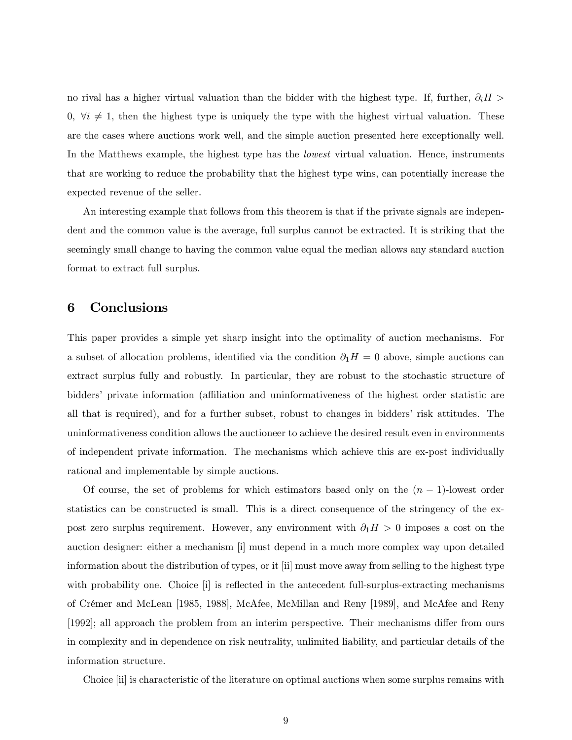no rival has a higher virtual valuation than the bidder with the highest type. If, further,  $\partial_i H$  $0, \forall i \neq 1$ , then the highest type is uniquely the type with the highest virtual valuation. These are the cases where auctions work well, and the simple auction presented here exceptionally well. In the Matthews example, the highest type has the *lowest* virtual valuation. Hence, instruments that are working to reduce the probability that the highest type wins, can potentially increase the expected revenue of the seller.

An interesting example that follows from this theorem is that if the private signals are independent and the common value is the average, full surplus cannot be extracted. It is striking that the seemingly small change to having the common value equal the median allows any standard auction format to extract full surplus.

# 6 Conclusions

This paper provides a simple yet sharp insight into the optimality of auction mechanisms. For a subset of allocation problems, identified via the condition  $\partial_1 H = 0$  above, simple auctions can extract surplus fully and robustly. In particular, they are robust to the stochastic structure of bidders' private information (affiliation and uninformativeness of the highest order statistic are all that is required), and for a further subset, robust to changes in bidders' risk attitudes. The uninformativeness condition allows the auctioneer to achieve the desired result even in environments of independent private information. The mechanisms which achieve this are ex-post individually rational and implementable by simple auctions.

Of course, the set of problems for which estimators based only on the  $(n - 1)$ -lowest order statistics can be constructed is small. This is a direct consequence of the stringency of the expost zero surplus requirement. However, any environment with  $\partial_1 H > 0$  imposes a cost on the auction designer: either a mechanism [i] must depend in a much more complex way upon detailed information about the distribution of types, or it [ii] must move away from selling to the highest type with probability one. Choice [i] is reflected in the antecedent full-surplus-extracting mechanisms of CrÈmer and McLean [1985, 1988], McAfee, McMillan and Reny [1989], and McAfee and Reny [1992]; all approach the problem from an interim perspective. Their mechanisms differ from ours in complexity and in dependence on risk neutrality, unlimited liability, and particular details of the information structure.

Choice [ii] is characteristic of the literature on optimal auctions when some surplus remains with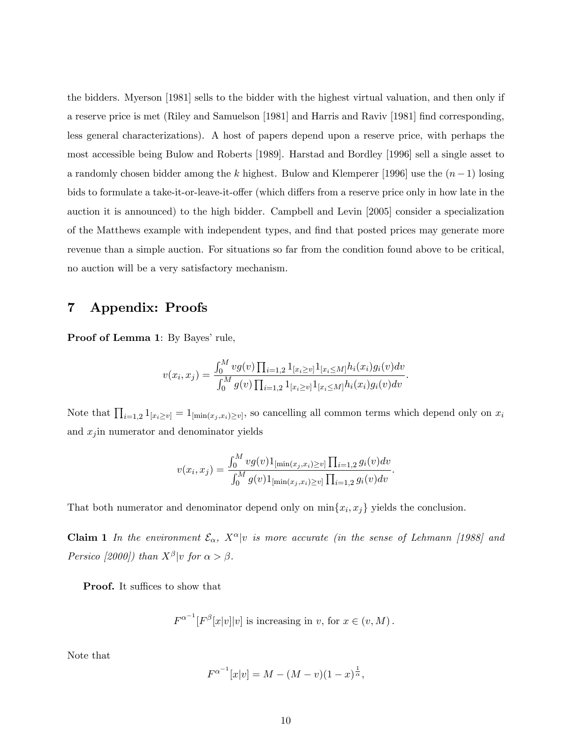the bidders. Myerson [1981] sells to the bidder with the highest virtual valuation, and then only if a reserve price is met (Riley and Samuelson [1981] and Harris and Raviv [1981] Önd corresponding, less general characterizations). A host of papers depend upon a reserve price, with perhaps the most accessible being Bulow and Roberts [1989]. Harstad and Bordley [1996] sell a single asset to a randomly chosen bidder among the k highest. Bulow and Klemperer [1996] use the  $(n-1)$  losing bids to formulate a take-it-or-leave-it-offer (which differs from a reserve price only in how late in the auction it is announced) to the high bidder. Campbell and Levin [2005] consider a specialization of the Matthews example with independent types, and find that posted prices may generate more revenue than a simple auction. For situations so far from the condition found above to be critical, no auction will be a very satisfactory mechanism.

# 7 Appendix: Proofs

Proof of Lemma 1: By Bayes' rule,

$$
v(x_i, x_j) = \frac{\int_0^M v g(v) \prod_{i=1,2} 1_{[x_i \ge v]} 1_{[x_i \le M]} h_i(x_i) g_i(v) dv}{\int_0^M g(v) \prod_{i=1,2} 1_{[x_i \ge v]} 1_{[x_i \le M]} h_i(x_i) g_i(v) dv}.
$$

Note that  $\prod_{i=1,2} 1_{[x_i \geq v]} = 1_{[\min(x_j,x_i)\geq v]}$ , so cancelling all common terms which depend only on  $x_i$ and  $x_j$  in numerator and denominator yields

$$
v(x_i, x_j) = \frac{\int_0^M v g(v) 1_{\left[\min(x_j, x_i) \ge v\right]} \prod_{i=1,2} g_i(v) dv}{\int_0^M g(v) 1_{\left[\min(x_j, x_i) \ge v\right]} \prod_{i=1,2} g_i(v) dv}.
$$

That both numerator and denominator depend only on  $\min\{x_i, x_j\}$  yields the conclusion.

**Claim 1** In the environment  $\mathcal{E}_{\alpha}$ ,  $X^{\alpha}|v$  is more accurate (in the sense of Lehmann [1988] and Persico [2000]) than  $X^{\beta}|v$  for  $\alpha > \beta$ .

**Proof.** It suffices to show that

$$
F^{\alpha^{-1}}[F^{\beta}[x|v]|v] \text{ is increasing in } v, \text{ for } x \in (v, M).
$$

Note that

$$
F^{\alpha^{-1}}[x|v] = M - (M - v)(1 - x)^{\frac{1}{\alpha}},
$$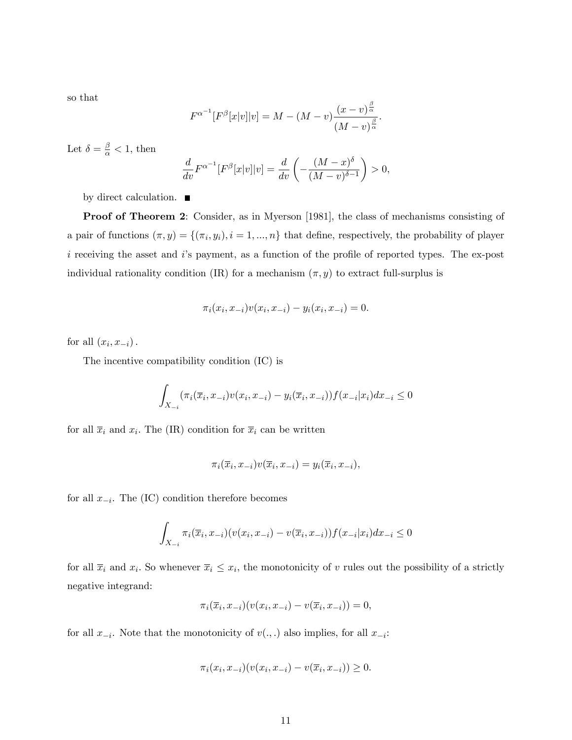so that

$$
F^{\alpha^{-1}}[F^{\beta}[x|v]|v] = M - (M - v)\frac{(x - v)^{\frac{\beta}{\alpha}}}{(M - v)^{\frac{\beta}{\alpha}}}.
$$

Let  $\delta = \frac{\beta}{\alpha} < 1$ , then

$$
\frac{d}{dv}F^{\alpha^{-1}}[F^{\beta}[x|v]|v] = \frac{d}{dv}\left(-\frac{(M-x)^{\delta}}{(M-v)^{\delta-1}}\right) > 0,
$$

by direct calculation.  $\blacksquare$ 

Proof of Theorem 2: Consider, as in Myerson [1981], the class of mechanisms consisting of a pair of functions  $(\pi, y) = \{(\pi_i, y_i), i = 1, ..., n\}$  that define, respectively, the probability of player  $i$  receiving the asset and  $i$ 's payment, as a function of the profile of reported types. The ex-post individual rationality condition (IR) for a mechanism  $(\pi, y)$  to extract full-surplus is

$$
\pi_i(x_i, x_{-i})v(x_i, x_{-i}) - y_i(x_i, x_{-i}) = 0.
$$

for all  $(x_i, x_{-i})$ .

The incentive compatibility condition (IC) is

$$
\int_{X_{-i}} (\pi_i(\overline{x}_i, x_{-i})v(x_i, x_{-i}) - y_i(\overline{x}_i, x_{-i}))f(x_{-i}|x_i)dx_{-i} \le 0
$$

for all  $\bar{x}_i$  and  $x_i$ . The (IR) condition for  $\bar{x}_i$  can be written

$$
\pi_i(\overline{x}_i, x_{-i})v(\overline{x}_i, x_{-i}) = y_i(\overline{x}_i, x_{-i}),
$$

for all  $x_{-i}$ . The (IC) condition therefore becomes

$$
\int_{X_{-i}} \pi_i(\overline{x}_i, x_{-i}) (v(x_i, x_{-i}) - v(\overline{x}_i, x_{-i})) f(x_{-i}|x_i) dx_{-i} \le 0
$$

for all  $\overline{x}_i$  and  $x_i$ . So whenever  $\overline{x}_i \leq x_i$ , the monotonicity of v rules out the possibility of a strictly negative integrand:

$$
\pi_i(\overline{x}_i, x_{-i})(v(x_i, x_{-i}) - v(\overline{x}_i, x_{-i})) = 0,
$$

for all  $x_{-i}$ . Note that the monotonicity of  $v(.,.)$  also implies, for all  $x_{-i}$ :

$$
\pi_i(x_i, x_{-i})(v(x_i, x_{-i}) - v(\overline{x}_i, x_{-i})) \ge 0.
$$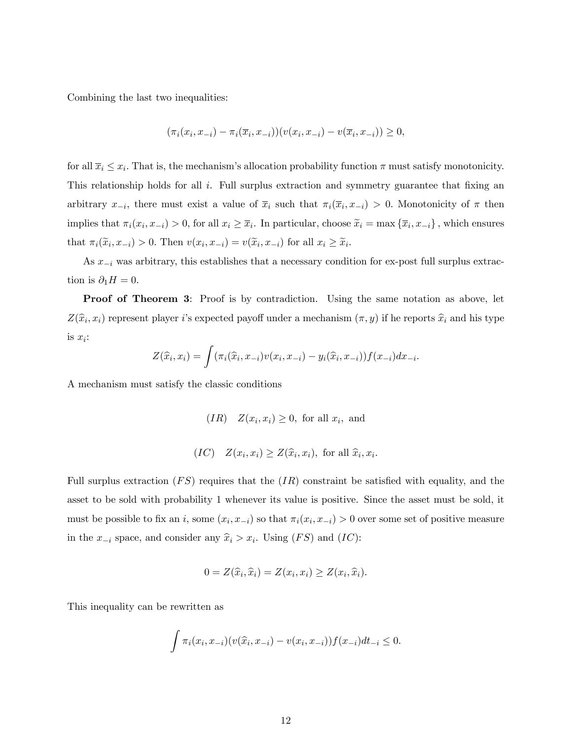Combining the last two inequalities:

$$
(\pi_i(x_i, x_{-i}) - \pi_i(\overline{x}_i, x_{-i})) (v(x_i, x_{-i}) - v(\overline{x}_i, x_{-i})) \ge 0,
$$

for all  $\overline{x}_i \leq x_i$ . That is, the mechanism's allocation probability function  $\pi$  must satisfy monotonicity. This relationship holds for all  $i$ . Full surplus extraction and symmetry guarantee that fixing an arbitrary  $x_{-i}$ , there must exist a value of  $\overline{x}_i$  such that  $\pi_i(\overline{x}_i, x_{-i}) > 0$ . Monotonicity of  $\pi$  then implies that  $\pi_i(x_i, x_{-i}) > 0$ , for all  $x_i \geq \overline{x}_i$ . In particular, choose  $\widetilde{x}_i = \max{\{\overline{x}_i, x_{-i}\}}$ , which ensures that  $\pi_i(\widetilde{x}_i, x_{-i}) > 0$ . Then  $v(x_i, x_{-i}) = v(\widetilde{x}_i, x_{-i})$  for all  $x_i \geq \widetilde{x}_i$ .

As  $x_{-i}$  was arbitrary, this establishes that a necessary condition for ex-post full surplus extraction is  $\partial_1 H = 0$ .

Proof of Theorem 3: Proof is by contradiction. Using the same notation as above, let  $Z(\widehat{x}_i, x_i)$  represent player i's expected payoff under a mechanism  $(\pi, y)$  if he reports  $\widehat{x}_i$  and his type is  $x_i$ :

$$
Z(\widehat{x}_i, x_i) = \int (\pi_i(\widehat{x}_i, x_{-i})v(x_i, x_{-i}) - y_i(\widehat{x}_i, x_{-i}))f(x_{-i})dx_{-i}.
$$

A mechanism must satisfy the classic conditions

$$
(IR) \quad Z(x_i, x_i) \ge 0, \text{ for all } x_i, \text{ and}
$$

$$
(IC) \quad Z(x_i, x_i) \ge Z(\hat{x}_i, x_i), \text{ for all } \hat{x}_i, x_i.
$$

Full surplus extraction  $(FS)$  requires that the  $(IR)$  constraint be satisfied with equality, and the asset to be sold with probability 1 whenever its value is positive. Since the asset must be sold, it must be possible to fix an i, some  $(x_i, x_{-i})$  so that  $\pi_i(x_i, x_{-i}) > 0$  over some set of positive measure in the  $x_{-i}$  space, and consider any  $\hat{x}_i > x_i$ . Using  $(FS)$  and  $(IC)$ :

$$
0 = Z(\widehat{x}_i, \widehat{x}_i) = Z(x_i, x_i) \ge Z(x_i, \widehat{x}_i).
$$

This inequality can be rewritten as

$$
\int \pi_i(x_i, x_{-i}) (v(\widehat{x}_i, x_{-i}) - v(x_i, x_{-i})) f(x_{-i}) dt_{-i} \le 0.
$$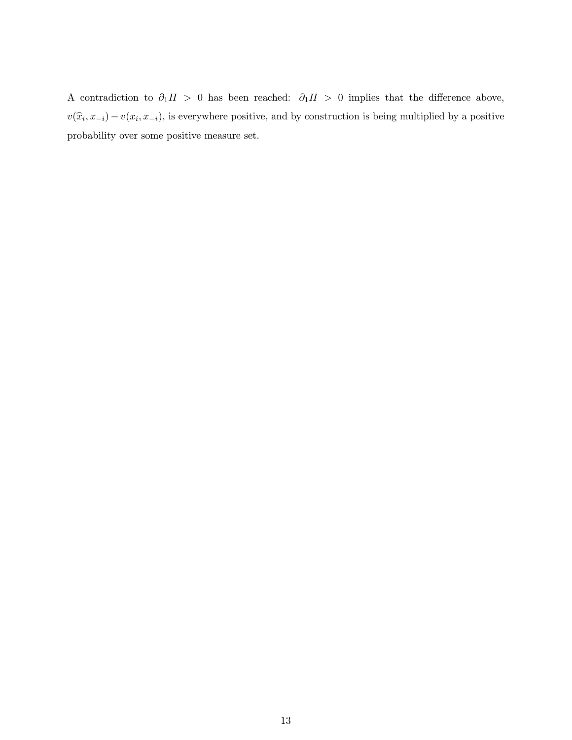A contradiction to  $\partial_1 H > 0$  has been reached:  $\partial_1 H > 0$  implies that the difference above,  $v(\widehat{x}_i, x_{-i}) - v(x_i, x_{-i})$ , is everywhere positive, and by construction is being multiplied by a positive probability over some positive measure set.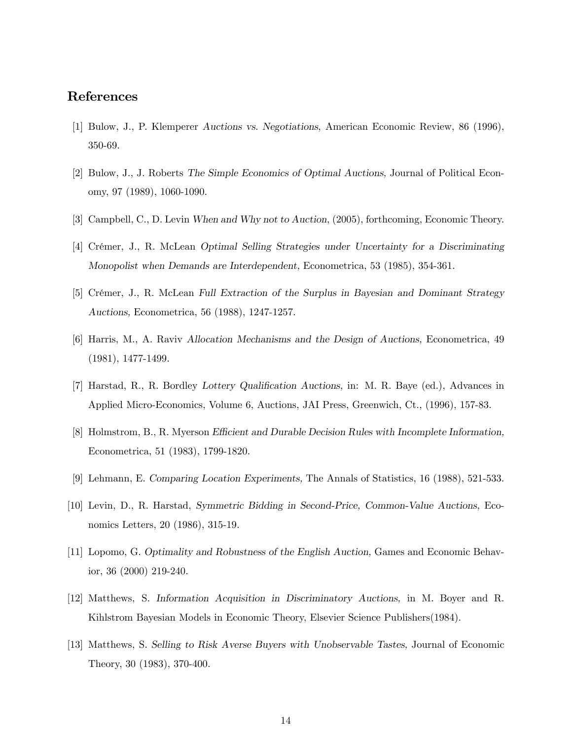# References

- [1] Bulow, J., P. Klemperer Auctions vs. Negotiations, American Economic Review, 86 (1996), 350-69.
- [2] Bulow, J., J. Roberts The Simple Economics of Optimal Auctions, Journal of Political Economy, 97 (1989), 1060-1090.
- [3] Campbell, C., D. Levin When and Why not to Auction, (2005), forthcoming, Economic Theory.
- [4] CrÈmer, J., R. McLean Optimal Selling Strategies under Uncertainty for a Discriminating Monopolist when Demands are Interdependent, Econometrica, 53 (1985), 354-361.
- [5] Crémer, J., R. McLean Full Extraction of the Surplus in Bayesian and Dominant Strategy Auctions, Econometrica, 56 (1988), 1247-1257.
- [6] Harris, M., A. Raviv Allocation Mechanisms and the Design of Auctions, Econometrica, 49 (1981), 1477-1499.
- [7] Harstad, R., R. Bordley Lottery Qualification Auctions, in: M. R. Baye (ed.), Advances in Applied Micro-Economics, Volume 6, Auctions, JAI Press, Greenwich, Ct., (1996), 157-83.
- [8] Holmstrom, B., R. Myerson Efficient and Durable Decision Rules with Incomplete Information, Econometrica, 51 (1983), 1799-1820.
- [9] Lehmann, E. Comparing Location Experiments, The Annals of Statistics, 16 (1988), 521-533.
- [10] Levin, D., R. Harstad, Symmetric Bidding in Second-Price, Common-Value Auctions, Economics Letters, 20 (1986), 315-19.
- [11] Lopomo, G. Optimality and Robustness of the English Auction, Games and Economic Behavior, 36 (2000) 219-240.
- [12] Matthews, S. Information Acquisition in Discriminatory Auctions, in M. Boyer and R. Kihlstrom Bayesian Models in Economic Theory, Elsevier Science Publishers(1984).
- [13] Matthews, S. Selling to Risk Averse Buyers with Unobservable Tastes, Journal of Economic Theory, 30 (1983), 370-400.